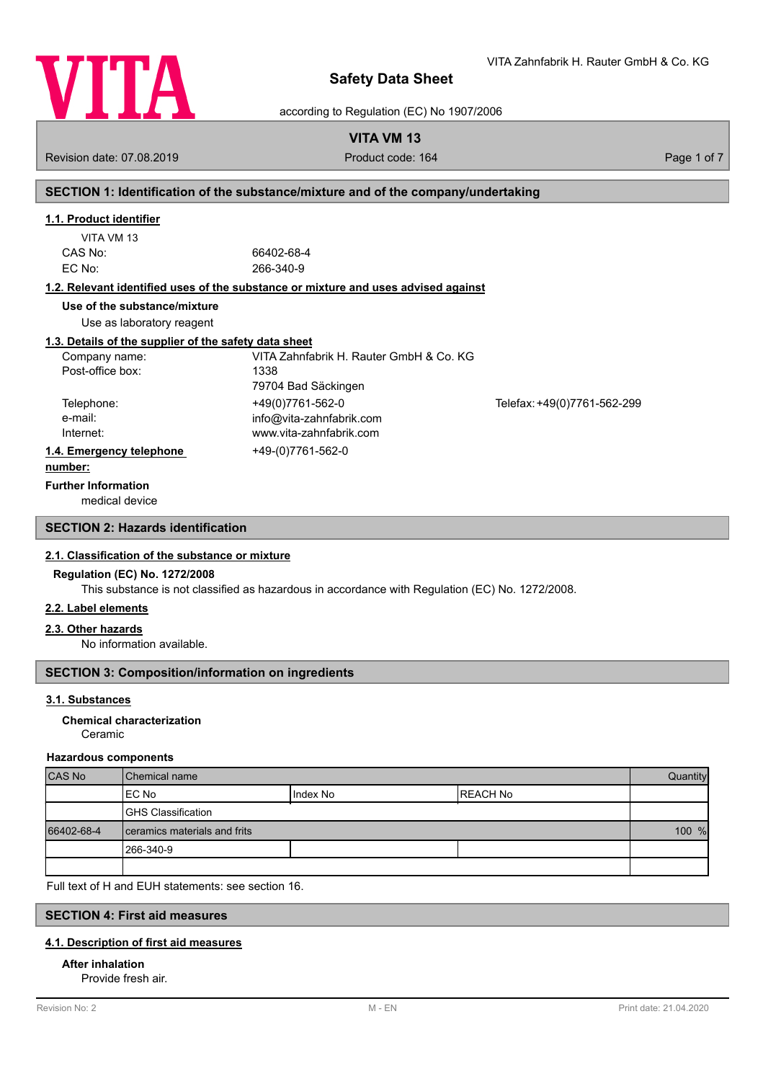

VITA Zahnfabrik H. Rauter GmbH & Co. KG

according to Regulation (EC) No 1907/2006

# **VITA VM 13**

Revision date: 07.08.2019 **Product code: 164** Product code: 164 Page 1 of 7

# **SECTION 1: Identification of the substance/mixture and of the company/undertaking**

# **1.1. Product identifier**

| VITA VM 13 |  |
|------------|--|
| CAS No:    |  |
| EC No:     |  |

66402-68-4 EC No: 266-340-9

## **1.2. Relevant identified uses of the substance or mixture and uses advised against**

**Use of the substance/mixture**

Use as laboratory reagent

#### **1.3. Details of the supplier of the safety data sheet**

| Company name:            | VITA Zahnfabrik H. Rauter GmbH & Co. KG |                             |
|--------------------------|-----------------------------------------|-----------------------------|
| Post-office box:         | 1338                                    |                             |
|                          | 79704 Bad Säckingen                     |                             |
| Telephone:               | +49(0)7761-562-0                        | Telefax: +49(0)7761-562-299 |
| e-mail:                  | info@vita-zahnfabrik.com                |                             |
| Internet:                | www.vita-zahnfabrik.com                 |                             |
| 1.4. Emergency telephone | +49-(0)7761-562-0                       |                             |
| .                        |                                         |                             |

#### **number:**

**Further Information**

medical device

# **SECTION 2: Hazards identification**

#### **2.1. Classification of the substance or mixture**

#### **Regulation (EC) No. 1272/2008**

This substance is not classified as hazardous in accordance with Regulation (EC) No. 1272/2008.

# **2.2. Label elements**

#### **2.3. Other hazards**

No information available.

# **SECTION 3: Composition/information on ingredients**

#### **3.1. Substances**

#### Ceramic **Chemical characterization**

#### **Hazardous components**

| <b>CAS No</b> | l Chemical name                |            | Quantity  |  |
|---------------|--------------------------------|------------|-----------|--|
|               | IEC No                         | I Index No | IREACH No |  |
|               | <b>GHS Classification</b>      |            |           |  |
| 66402-68-4    | I ceramics materials and frits |            | 100 %     |  |
|               | 1266-340-9                     |            |           |  |
|               |                                |            |           |  |

Full text of H and EUH statements: see section 16.

# **SECTION 4: First aid measures**

# **4.1. Description of first aid measures**

## **After inhalation**

Provide fresh air.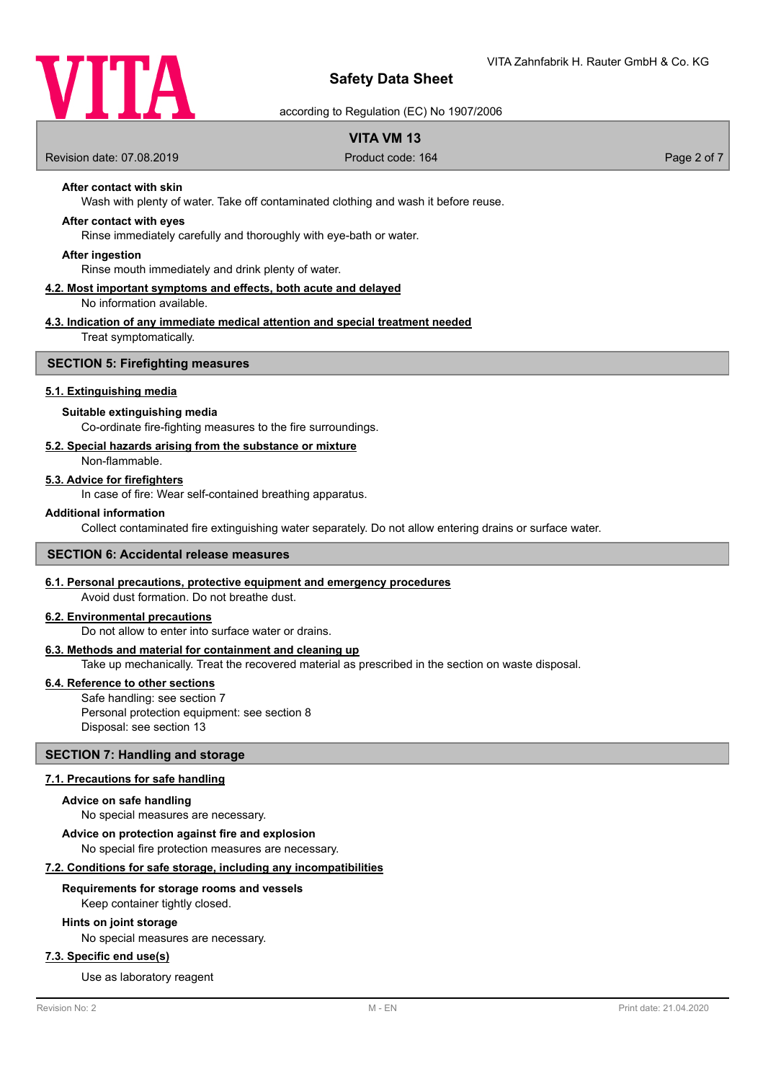

according to Regulation (EC) No 1907/2006

# **VITA VM 13**

Revision date: 07.08.2019 **Product code: 164** Product code: 164 Page 2 of 7

# **After contact with skin**

Wash with plenty of water. Take off contaminated clothing and wash it before reuse.

## **After contact with eyes**

Rinse immediately carefully and thoroughly with eye-bath or water.

#### **After ingestion**

Rinse mouth immediately and drink plenty of water.

#### **4.2. Most important symptoms and effects, both acute and delayed** No information available.

# **4.3. Indication of any immediate medical attention and special treatment needed**

Treat symptomatically.

#### **SECTION 5: Firefighting measures**

#### **5.1. Extinguishing media**

#### **Suitable extinguishing media**

Co-ordinate fire-fighting measures to the fire surroundings.

#### **5.2. Special hazards arising from the substance or mixture**

Non-flammable.

#### **5.3. Advice for firefighters**

In case of fire: Wear self-contained breathing apparatus.

#### **Additional information**

Collect contaminated fire extinguishing water separately. Do not allow entering drains or surface water.

#### **SECTION 6: Accidental release measures**

#### **6.1. Personal precautions, protective equipment and emergency procedures**

Avoid dust formation. Do not breathe dust.

# **6.2. Environmental precautions**

Do not allow to enter into surface water or drains.

#### **6.3. Methods and material for containment and cleaning up**

Take up mechanically. Treat the recovered material as prescribed in the section on waste disposal.

#### **6.4. Reference to other sections**

Safe handling: see section 7 Personal protection equipment: see section 8 Disposal: see section 13

#### **SECTION 7: Handling and storage**

#### **7.1. Precautions for safe handling**

#### **Advice on safe handling**

No special measures are necessary.

**Advice on protection against fire and explosion**

No special fire protection measures are necessary.

# **7.2. Conditions for safe storage, including any incompatibilities**

#### **Requirements for storage rooms and vessels**

Keep container tightly closed.

#### **Hints on joint storage**

No special measures are necessary.

# **7.3. Specific end use(s)**

Use as laboratory reagent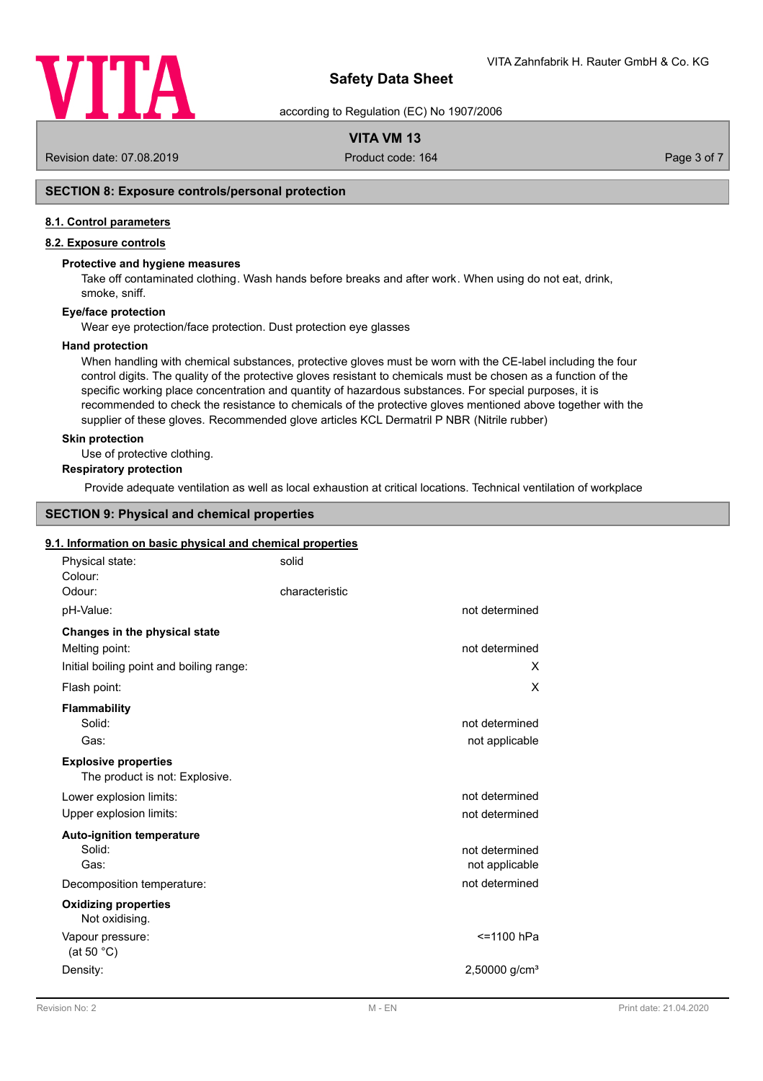

according to Regulation (EC) No 1907/2006

# **VITA VM 13**

Revision date: 07.08.2019 **Product code: 164** Product code: 164 Page 3 of 7

# **SECTION 8: Exposure controls/personal protection**

#### **8.1. Control parameters**

# **8.2. Exposure controls**

#### **Protective and hygiene measures**

Take off contaminated clothing. Wash hands before breaks and after work. When using do not eat, drink, smoke, sniff.

# **Eye/face protection**

Wear eye protection/face protection. Dust protection eye glasses

#### **Hand protection**

When handling with chemical substances, protective gloves must be worn with the CE-label including the four control digits. The quality of the protective gloves resistant to chemicals must be chosen as a function of the specific working place concentration and quantity of hazardous substances. For special purposes, it is recommended to check the resistance to chemicals of the protective gloves mentioned above together with the supplier of these gloves. Recommended glove articles KCL Dermatril P NBR (Nitrile rubber)

#### **Skin protection**

Use of protective clothing.

# **Respiratory protection**

Provide adequate ventilation as well as local exhaustion at critical locations. Technical ventilation of workplace

# **SECTION 9: Physical and chemical properties**

#### **9.1. Information on basic physical and chemical properties**

| Physical state:<br>Colour:                                    | solid                       |
|---------------------------------------------------------------|-----------------------------|
| Odour:                                                        | characteristic              |
| pH-Value:                                                     | not determined              |
| Changes in the physical state                                 |                             |
| Melting point:                                                | not determined              |
| Initial boiling point and boiling range:                      | X                           |
| Flash point:                                                  | X                           |
| <b>Flammability</b>                                           |                             |
| Solid:                                                        | not determined              |
| Gas:                                                          | not applicable              |
| <b>Explosive properties</b><br>The product is not: Explosive. |                             |
| Lower explosion limits:                                       | not determined              |
| Upper explosion limits:                                       | not determined              |
| <b>Auto-ignition temperature</b>                              |                             |
| Solid:                                                        | not determined              |
| Gas:                                                          | not applicable              |
| Decomposition temperature:                                    | not determined              |
| <b>Oxidizing properties</b><br>Not oxidising.                 |                             |
| Vapour pressure:<br>(at 50 $^{\circ}$ C)                      | <=1100 hPa                  |
| Density:                                                      | $2,50000$ g/cm <sup>3</sup> |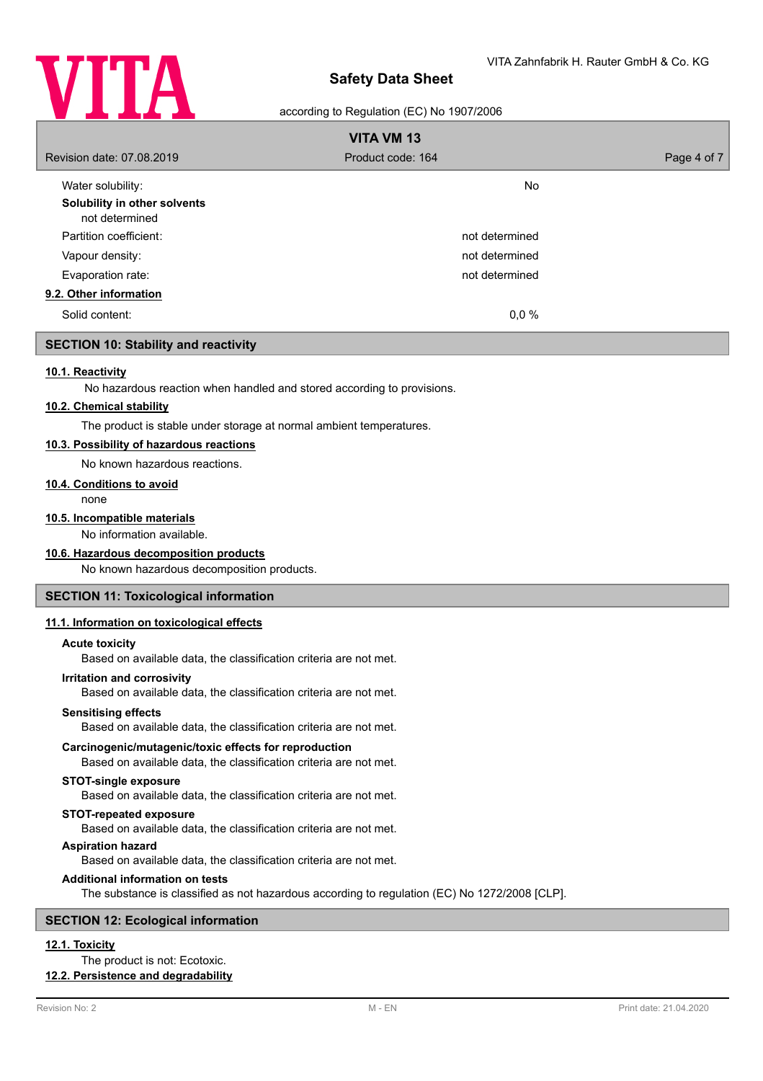

#### according to Regulation (EC) No 1907/2006

| <b>VITA VM 13</b>                              |                   |             |  |
|------------------------------------------------|-------------------|-------------|--|
| Revision date: 07.08.2019                      | Product code: 164 | Page 4 of 7 |  |
| Water solubility:                              | <b>No</b>         |             |  |
| Solubility in other solvents<br>not determined |                   |             |  |
| Partition coefficient:                         | not determined    |             |  |
| Vapour density:                                | not determined    |             |  |
| Evaporation rate:                              | not determined    |             |  |
| 9.2. Other information                         |                   |             |  |
| Solid content:                                 | 0,0%              |             |  |

# **SECTION 10: Stability and reactivity**

#### **10.1. Reactivity**

No hazardous reaction when handled and stored according to provisions.

#### **10.2. Chemical stability**

The product is stable under storage at normal ambient temperatures.

## **10.3. Possibility of hazardous reactions**

No known hazardous reactions.

## **10.4. Conditions to avoid**

none

#### **10.5. Incompatible materials**

No information available.

#### **10.6. Hazardous decomposition products**

No known hazardous decomposition products.

# **SECTION 11: Toxicological information**

#### **11.1. Information on toxicological effects**

#### **Acute toxicity**

Based on available data, the classification criteria are not met.

#### **Irritation and corrosivity**

Based on available data, the classification criteria are not met.

#### **Sensitising effects**

Based on available data, the classification criteria are not met.

#### **Carcinogenic/mutagenic/toxic effects for reproduction**

Based on available data, the classification criteria are not met.

## **STOT-single exposure**

Based on available data, the classification criteria are not met.

#### **STOT-repeated exposure**

Based on available data, the classification criteria are not met.

#### **Aspiration hazard**

Based on available data, the classification criteria are not met.

#### **Additional information on tests**

The substance is classified as not hazardous according to regulation (EC) No 1272/2008 [CLP].

## **SECTION 12: Ecological information**

# **12.1. Toxicity**

The product is not: Ecotoxic.

# **12.2. Persistence and degradability**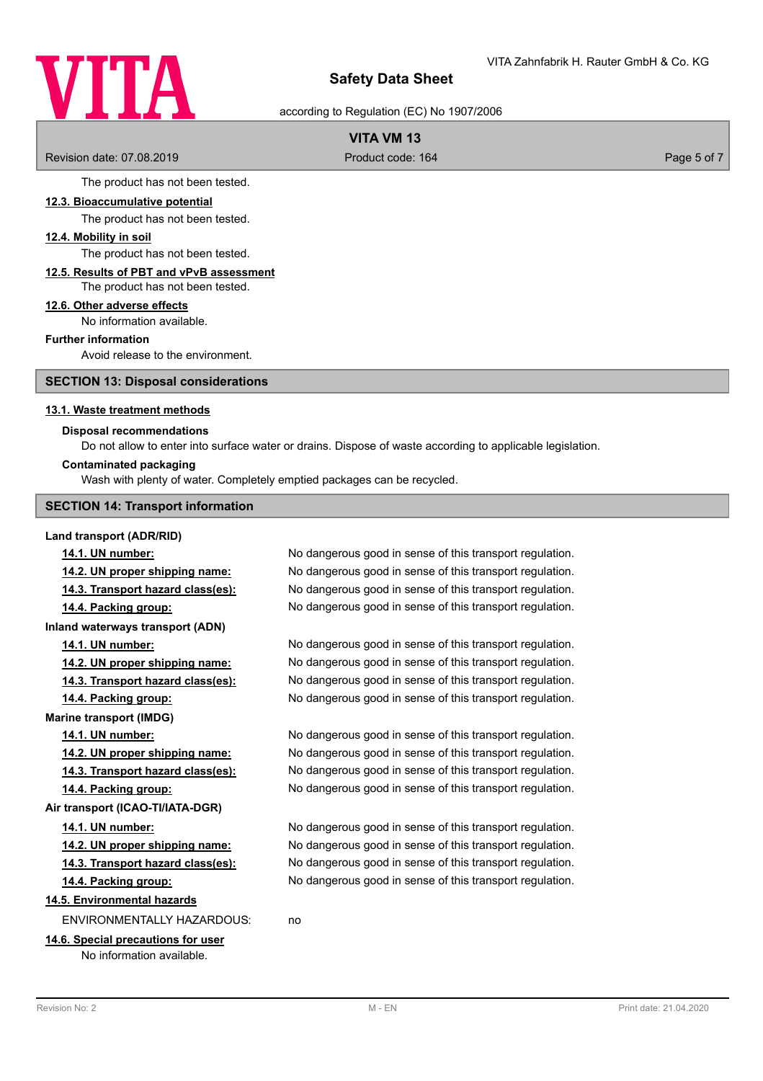# VITA

# **Safety Data Sheet**

according to Regulation (EC) No 1907/2006

# **VITA VM 13**

Revision date: 07.08.2019 **Product code: 164** Product code: 164 Page 5 of 7

The product has not been tested.

#### **12.3. Bioaccumulative potential**

The product has not been tested.

## **12.4. Mobility in soil**

The product has not been tested.

#### **12.5. Results of PBT and vPvB assessment** The product has not been tested.

# **12.6. Other adverse effects**

No information available.

#### **Further information**

Avoid release to the environment.

**SECTION 13: Disposal considerations**

#### **13.1. Waste treatment methods**

## **Disposal recommendations**

Do not allow to enter into surface water or drains. Dispose of waste according to applicable legislation.

#### **Contaminated packaging**

Wash with plenty of water. Completely emptied packages can be recycled.

#### **SECTION 14: Transport information**

#### **Land transport (ADR/RID)**

**Marine transport (IMDG)**

**14.1. UN number:** No dangerous good in sense of this transport regulation. **14.2. UN proper shipping name:** No dangerous good in sense of this transport regulation. **14.3. Transport hazard class(es):** No dangerous good in sense of this transport regulation. **14.4. Packing group:** No dangerous good in sense of this transport regulation. **Inland waterways transport (ADN) 14.1. UN number:** No dangerous good in sense of this transport regulation. **14.2. UN proper shipping name:** No dangerous good in sense of this transport regulation. **14.3. Transport hazard class(es):** No dangerous good in sense of this transport regulation. **14.4. Packing group:** No dangerous good in sense of this transport regulation.

**14.1. UN number:** No dangerous good in sense of this transport regulation. **14.2. UN proper shipping name:** No dangerous good in sense of this transport regulation. **14.3. Transport hazard class(es):** No dangerous good in sense of this transport regulation. **14.4. Packing group:** No dangerous good in sense of this transport regulation.

**14.1. UN number:** No dangerous good in sense of this transport regulation. **14.2. UN proper shipping name:** No dangerous good in sense of this transport regulation. **14.3. Transport hazard class(es):** No dangerous good in sense of this transport regulation. **14.4. Packing group:** No dangerous good in sense of this transport regulation.

# **14.5. Environmental hazards**

ENVIRONMENTALLY HAZARDOUS: no

# **14.6. Special precautions for user**

**Air transport (ICAO-TI/IATA-DGR)**

No information available.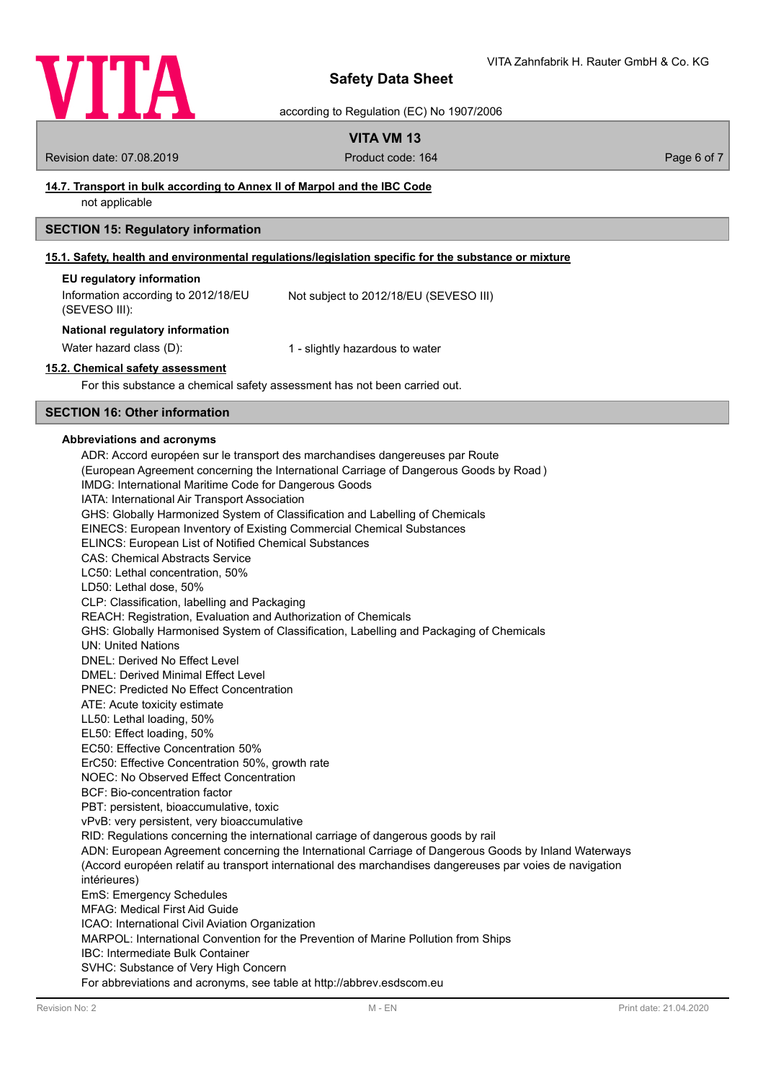

according to Regulation (EC) No 1907/2006

# **VITA VM 13**

Revision date: 07.08.2019 **Product code: 164** Product code: 164 **Page 6 of 7** Page 6 of 7

# **14.7. Transport in bulk according to Annex II of Marpol and the IBC Code**

not applicable

# **SECTION 15: Regulatory information**

#### **15.1. Safety, health and environmental regulations/legislation specific for the substance or mixture**

| EU regulatory information           |                                        |
|-------------------------------------|----------------------------------------|
| Information according to 2012/18/EU | Not subject to 2012/18/EU (SEVESO III) |
| (SEVESO III):                       |                                        |

#### **National regulatory information**

Water hazard class (D): 1 - slightly hazardous to water

### **15.2. Chemical safety assessment**

For this substance a chemical safety assessment has not been carried out.

# **SECTION 16: Other information**

#### **Abbreviations and acronyms**

ADR: Accord européen sur le transport des marchandises dangereuses par Route (European Agreement concerning the International Carriage of Dangerous Goods by Road ) IMDG: International Maritime Code for Dangerous Goods IATA: International Air Transport Association GHS: Globally Harmonized System of Classification and Labelling of Chemicals EINECS: European Inventory of Existing Commercial Chemical Substances ELINCS: European List of Notified Chemical Substances CAS: Chemical Abstracts Service LC50: Lethal concentration, 50% LD50: Lethal dose, 50% CLP: Classification, labelling and Packaging REACH: Registration, Evaluation and Authorization of Chemicals GHS: Globally Harmonised System of Classification, Labelling and Packaging of Chemicals UN: United Nations DNEL: Derived No Effect Level DMEL: Derived Minimal Effect Level PNEC: Predicted No Effect Concentration ATE: Acute toxicity estimate LL50: Lethal loading, 50% EL50: Effect loading, 50% EC50: Effective Concentration 50% ErC50: Effective Concentration 50%, growth rate NOEC: No Observed Effect Concentration BCF: Bio-concentration factor PBT: persistent, bioaccumulative, toxic vPvB: very persistent, very bioaccumulative RID: Regulations concerning the international carriage of dangerous goods by rail ADN: European Agreement concerning the International Carriage of Dangerous Goods by Inland Waterways (Accord européen relatif au transport international des marchandises dangereuses par voies de navigation intérieures) EmS: Emergency Schedules MFAG: Medical First Aid Guide ICAO: International Civil Aviation Organization MARPOL: International Convention for the Prevention of Marine Pollution from Ships IBC: Intermediate Bulk Container SVHC: Substance of Very High Concern For abbreviations and acronyms, see table at http://abbrev.esdscom.eu